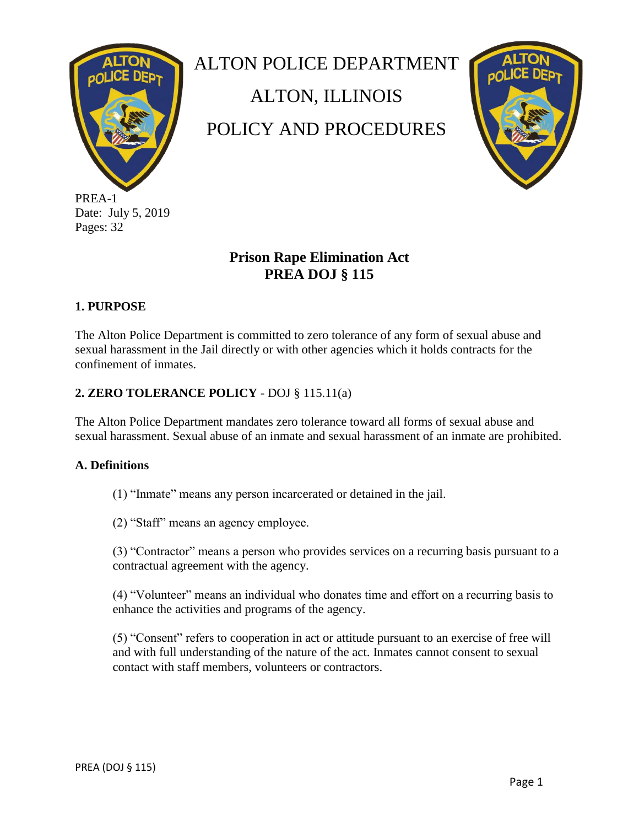

PREA-1 Date: July 5, 2019 Pages: 32

ALTON POLICE DEPARTMENT

ALTON, ILLINOIS

POLICY AND PROCEDURES



# **Prison Rape Elimination Act PREA DOJ § 115**

## **1. PURPOSE**

The Alton Police Department is committed to zero tolerance of any form of sexual abuse and sexual harassment in the Jail directly or with other agencies which it holds contracts for the confinement of inmates.

## **2. ZERO TOLERANCE POLICY** - DOJ § 115.11(a)

The Alton Police Department mandates zero tolerance toward all forms of sexual abuse and sexual harassment. Sexual abuse of an inmate and sexual harassment of an inmate are prohibited.

## **A. Definitions**

(1) "Inmate" means any person incarcerated or detained in the jail.

(2) "Staff" means an agency employee.

(3) "Contractor" means a person who provides services on a recurring basis pursuant to a contractual agreement with the agency.

(4) "Volunteer" means an individual who donates time and effort on a recurring basis to enhance the activities and programs of the agency.

(5) "Consent" refers to cooperation in act or attitude pursuant to an exercise of free will and with full understanding of the nature of the act. Inmates cannot consent to sexual contact with staff members, volunteers or contractors.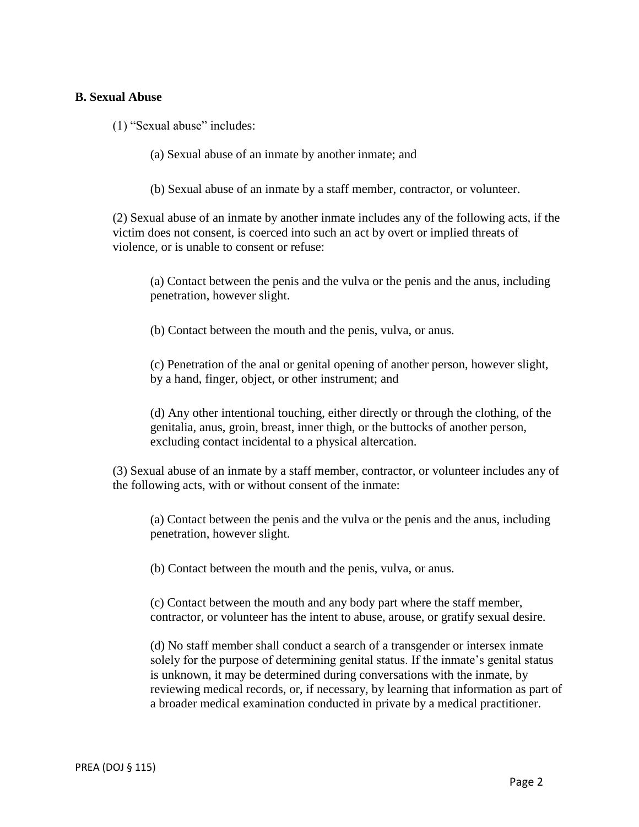#### **B. Sexual Abuse**

(1) "Sexual abuse" includes:

(a) Sexual abuse of an inmate by another inmate; and

(b) Sexual abuse of an inmate by a staff member, contractor, or volunteer.

(2) Sexual abuse of an inmate by another inmate includes any of the following acts, if the victim does not consent, is coerced into such an act by overt or implied threats of violence, or is unable to consent or refuse:

(a) Contact between the penis and the vulva or the penis and the anus, including penetration, however slight.

(b) Contact between the mouth and the penis, vulva, or anus.

(c) Penetration of the anal or genital opening of another person, however slight, by a hand, finger, object, or other instrument; and

(d) Any other intentional touching, either directly or through the clothing, of the genitalia, anus, groin, breast, inner thigh, or the buttocks of another person, excluding contact incidental to a physical altercation.

(3) Sexual abuse of an inmate by a staff member, contractor, or volunteer includes any of the following acts, with or without consent of the inmate:

(a) Contact between the penis and the vulva or the penis and the anus, including penetration, however slight.

(b) Contact between the mouth and the penis, vulva, or anus.

(c) Contact between the mouth and any body part where the staff member, contractor, or volunteer has the intent to abuse, arouse, or gratify sexual desire.

(d) No staff member shall conduct a search of a transgender or intersex inmate solely for the purpose of determining genital status. If the inmate's genital status is unknown, it may be determined during conversations with the inmate, by reviewing medical records, or, if necessary, by learning that information as part of a broader medical examination conducted in private by a medical practitioner.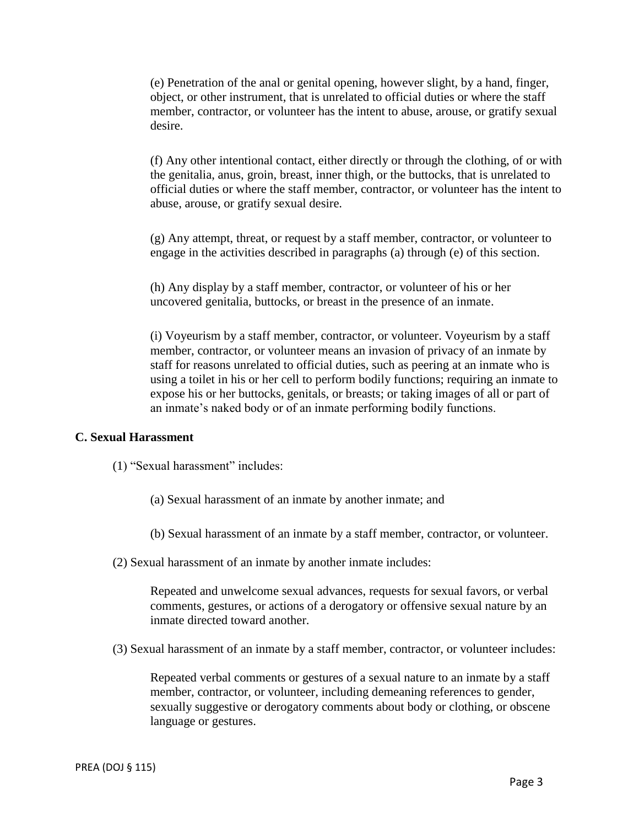(e) Penetration of the anal or genital opening, however slight, by a hand, finger, object, or other instrument, that is unrelated to official duties or where the staff member, contractor, or volunteer has the intent to abuse, arouse, or gratify sexual desire.

(f) Any other intentional contact, either directly or through the clothing, of or with the genitalia, anus, groin, breast, inner thigh, or the buttocks, that is unrelated to official duties or where the staff member, contractor, or volunteer has the intent to abuse, arouse, or gratify sexual desire.

(g) Any attempt, threat, or request by a staff member, contractor, or volunteer to engage in the activities described in paragraphs (a) through (e) of this section.

(h) Any display by a staff member, contractor, or volunteer of his or her uncovered genitalia, buttocks, or breast in the presence of an inmate.

(i) Voyeurism by a staff member, contractor, or volunteer. Voyeurism by a staff member, contractor, or volunteer means an invasion of privacy of an inmate by staff for reasons unrelated to official duties, such as peering at an inmate who is using a toilet in his or her cell to perform bodily functions; requiring an inmate to expose his or her buttocks, genitals, or breasts; or taking images of all or part of an inmate's naked body or of an inmate performing bodily functions.

#### **C. Sexual Harassment**

- (1) "Sexual harassment" includes:
	- (a) Sexual harassment of an inmate by another inmate; and

(b) Sexual harassment of an inmate by a staff member, contractor, or volunteer.

(2) Sexual harassment of an inmate by another inmate includes:

Repeated and unwelcome sexual advances, requests for sexual favors, or verbal comments, gestures, or actions of a derogatory or offensive sexual nature by an inmate directed toward another.

(3) Sexual harassment of an inmate by a staff member, contractor, or volunteer includes:

Repeated verbal comments or gestures of a sexual nature to an inmate by a staff member, contractor, or volunteer, including demeaning references to gender, sexually suggestive or derogatory comments about body or clothing, or obscene language or gestures.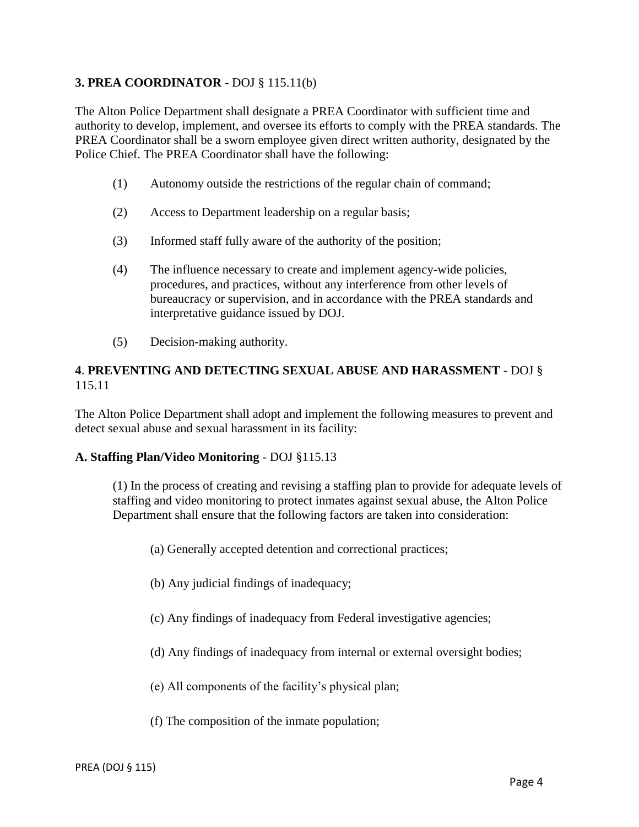## **3. PREA COORDINATOR** - DOJ § 115.11(b)

The Alton Police Department shall designate a PREA Coordinator with sufficient time and authority to develop, implement, and oversee its efforts to comply with the PREA standards. The PREA Coordinator shall be a sworn employee given direct written authority, designated by the Police Chief. The PREA Coordinator shall have the following:

- (1) Autonomy outside the restrictions of the regular chain of command;
- (2) Access to Department leadership on a regular basis;
- (3) Informed staff fully aware of the authority of the position;
- (4) The influence necessary to create and implement agency-wide policies, procedures, and practices, without any interference from other levels of bureaucracy or supervision, and in accordance with the PREA standards and interpretative guidance issued by DOJ.
- (5) Decision-making authority.

#### **4**. **PREVENTING AND DETECTING SEXUAL ABUSE AND HARASSMENT** - DOJ § 115.11

The Alton Police Department shall adopt and implement the following measures to prevent and detect sexual abuse and sexual harassment in its facility:

#### **A. Staffing Plan/Video Monitoring** - DOJ §115.13

(1) In the process of creating and revising a staffing plan to provide for adequate levels of staffing and video monitoring to protect inmates against sexual abuse, the Alton Police Department shall ensure that the following factors are taken into consideration:

- (a) Generally accepted detention and correctional practices;
- (b) Any judicial findings of inadequacy;
- (c) Any findings of inadequacy from Federal investigative agencies;
- (d) Any findings of inadequacy from internal or external oversight bodies;
- (e) All components of the facility's physical plan;
- (f) The composition of the inmate population;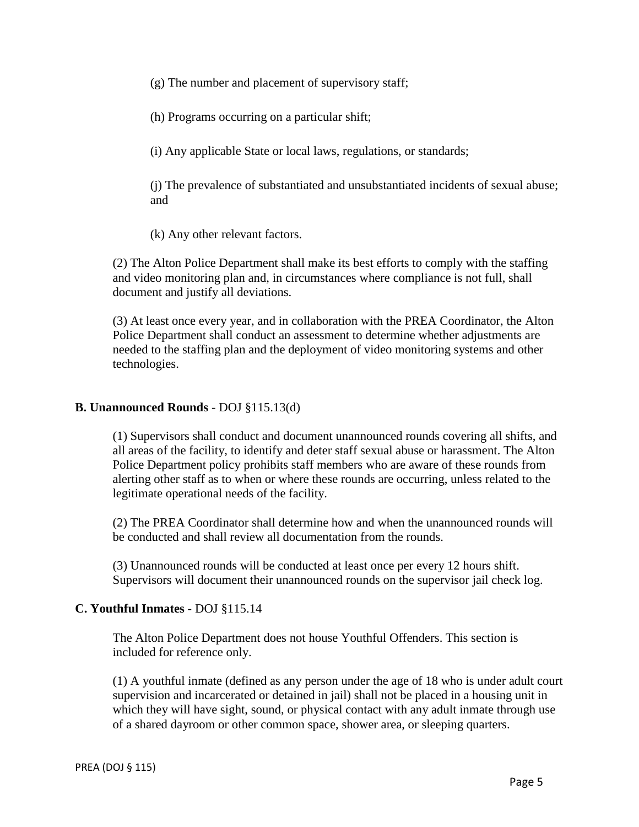(g) The number and placement of supervisory staff;

(h) Programs occurring on a particular shift;

(i) Any applicable State or local laws, regulations, or standards;

(j) The prevalence of substantiated and unsubstantiated incidents of sexual abuse; and

(k) Any other relevant factors.

(2) The Alton Police Department shall make its best efforts to comply with the staffing and video monitoring plan and, in circumstances where compliance is not full, shall document and justify all deviations.

(3) At least once every year, and in collaboration with the PREA Coordinator, the Alton Police Department shall conduct an assessment to determine whether adjustments are needed to the staffing plan and the deployment of video monitoring systems and other technologies.

#### **B. Unannounced Rounds** - DOJ §115.13(d)

(1) Supervisors shall conduct and document unannounced rounds covering all shifts, and all areas of the facility, to identify and deter staff sexual abuse or harassment. The Alton Police Department policy prohibits staff members who are aware of these rounds from alerting other staff as to when or where these rounds are occurring, unless related to the legitimate operational needs of the facility.

(2) The PREA Coordinator shall determine how and when the unannounced rounds will be conducted and shall review all documentation from the rounds.

(3) Unannounced rounds will be conducted at least once per every 12 hours shift. Supervisors will document their unannounced rounds on the supervisor jail check log.

## **C. Youthful Inmates** - DOJ §115.14

The Alton Police Department does not house Youthful Offenders. This section is included for reference only.

(1) A youthful inmate (defined as any person under the age of 18 who is under adult court supervision and incarcerated or detained in jail) shall not be placed in a housing unit in which they will have sight, sound, or physical contact with any adult inmate through use of a shared dayroom or other common space, shower area, or sleeping quarters.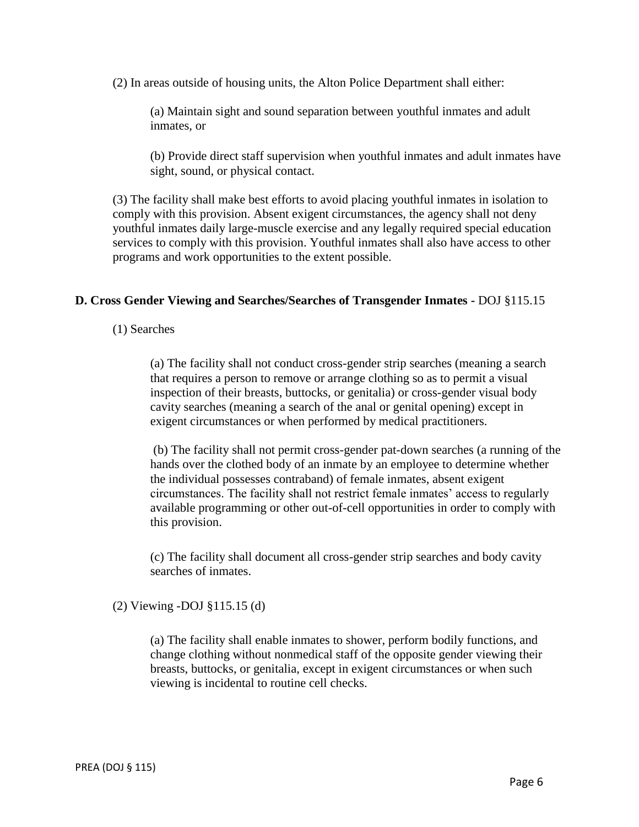(2) In areas outside of housing units, the Alton Police Department shall either:

(a) Maintain sight and sound separation between youthful inmates and adult inmates, or

(b) Provide direct staff supervision when youthful inmates and adult inmates have sight, sound, or physical contact.

(3) The facility shall make best efforts to avoid placing youthful inmates in isolation to comply with this provision. Absent exigent circumstances, the agency shall not deny youthful inmates daily large-muscle exercise and any legally required special education services to comply with this provision. Youthful inmates shall also have access to other programs and work opportunities to the extent possible.

#### **D. Cross Gender Viewing and Searches/Searches of Transgender Inmates -** DOJ §115.15

(1) Searches

(a) The facility shall not conduct cross-gender strip searches (meaning a search that requires a person to remove or arrange clothing so as to permit a visual inspection of their breasts, buttocks, or genitalia) or cross-gender visual body cavity searches (meaning a search of the anal or genital opening) except in exigent circumstances or when performed by medical practitioners.

(b) The facility shall not permit cross-gender pat-down searches (a running of the hands over the clothed body of an inmate by an employee to determine whether the individual possesses contraband) of female inmates, absent exigent circumstances. The facility shall not restrict female inmates' access to regularly available programming or other out-of-cell opportunities in order to comply with this provision.

(c) The facility shall document all cross-gender strip searches and body cavity searches of inmates.

(2) Viewing -DOJ §115.15 (d)

(a) The facility shall enable inmates to shower, perform bodily functions, and change clothing without nonmedical staff of the opposite gender viewing their breasts, buttocks, or genitalia, except in exigent circumstances or when such viewing is incidental to routine cell checks.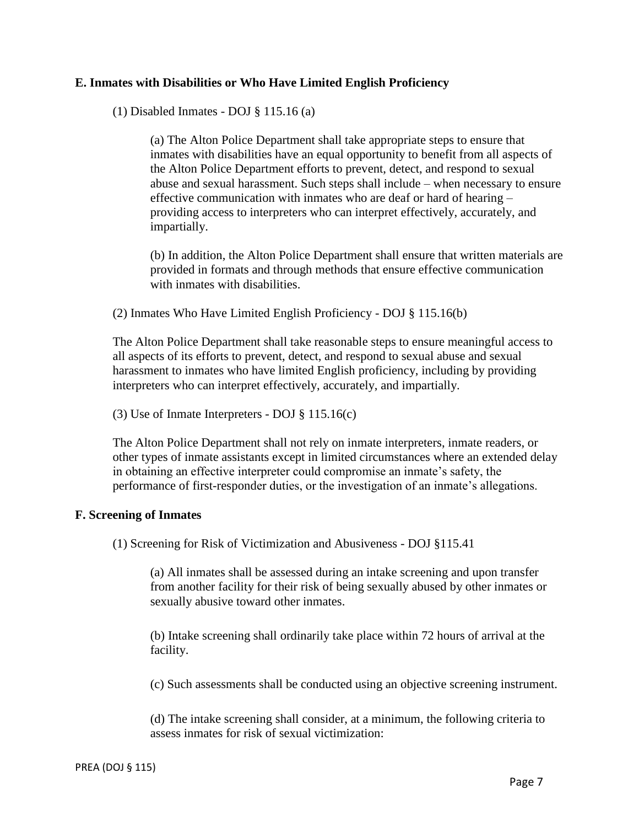#### **E. Inmates with Disabilities or Who Have Limited English Proficiency**

(1) Disabled Inmates - DOJ § 115.16 (a)

(a) The Alton Police Department shall take appropriate steps to ensure that inmates with disabilities have an equal opportunity to benefit from all aspects of the Alton Police Department efforts to prevent, detect, and respond to sexual abuse and sexual harassment. Such steps shall include – when necessary to ensure effective communication with inmates who are deaf or hard of hearing – providing access to interpreters who can interpret effectively, accurately, and impartially.

(b) In addition, the Alton Police Department shall ensure that written materials are provided in formats and through methods that ensure effective communication with inmates with disabilities.

(2) Inmates Who Have Limited English Proficiency - DOJ § 115.16(b)

The Alton Police Department shall take reasonable steps to ensure meaningful access to all aspects of its efforts to prevent, detect, and respond to sexual abuse and sexual harassment to inmates who have limited English proficiency, including by providing interpreters who can interpret effectively, accurately, and impartially.

(3) Use of Inmate Interpreters - DOJ § 115.16(c)

The Alton Police Department shall not rely on inmate interpreters, inmate readers, or other types of inmate assistants except in limited circumstances where an extended delay in obtaining an effective interpreter could compromise an inmate's safety, the performance of first-responder duties, or the investigation of an inmate's allegations.

#### **F. Screening of Inmates**

(1) Screening for Risk of Victimization and Abusiveness - DOJ §115.41

(a) All inmates shall be assessed during an intake screening and upon transfer from another facility for their risk of being sexually abused by other inmates or sexually abusive toward other inmates.

(b) Intake screening shall ordinarily take place within 72 hours of arrival at the facility.

(c) Such assessments shall be conducted using an objective screening instrument.

(d) The intake screening shall consider, at a minimum, the following criteria to assess inmates for risk of sexual victimization: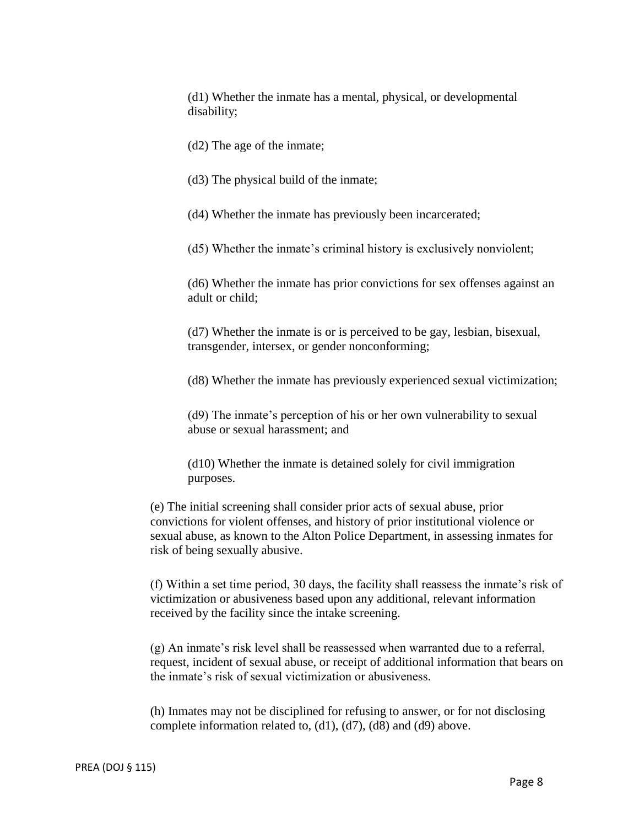(d1) Whether the inmate has a mental, physical, or developmental disability;

(d2) The age of the inmate;

(d3) The physical build of the inmate;

(d4) Whether the inmate has previously been incarcerated;

(d5) Whether the inmate's criminal history is exclusively nonviolent;

(d6) Whether the inmate has prior convictions for sex offenses against an adult or child;

(d7) Whether the inmate is or is perceived to be gay, lesbian, bisexual, transgender, intersex, or gender nonconforming;

(d8) Whether the inmate has previously experienced sexual victimization;

(d9) The inmate's perception of his or her own vulnerability to sexual abuse or sexual harassment; and

(d10) Whether the inmate is detained solely for civil immigration purposes.

(e) The initial screening shall consider prior acts of sexual abuse, prior convictions for violent offenses, and history of prior institutional violence or sexual abuse, as known to the Alton Police Department, in assessing inmates for risk of being sexually abusive.

(f) Within a set time period, 30 days, the facility shall reassess the inmate's risk of victimization or abusiveness based upon any additional, relevant information received by the facility since the intake screening.

(g) An inmate's risk level shall be reassessed when warranted due to a referral, request, incident of sexual abuse, or receipt of additional information that bears on the inmate's risk of sexual victimization or abusiveness.

(h) Inmates may not be disciplined for refusing to answer, or for not disclosing complete information related to, (d1), (d7), (d8) and (d9) above.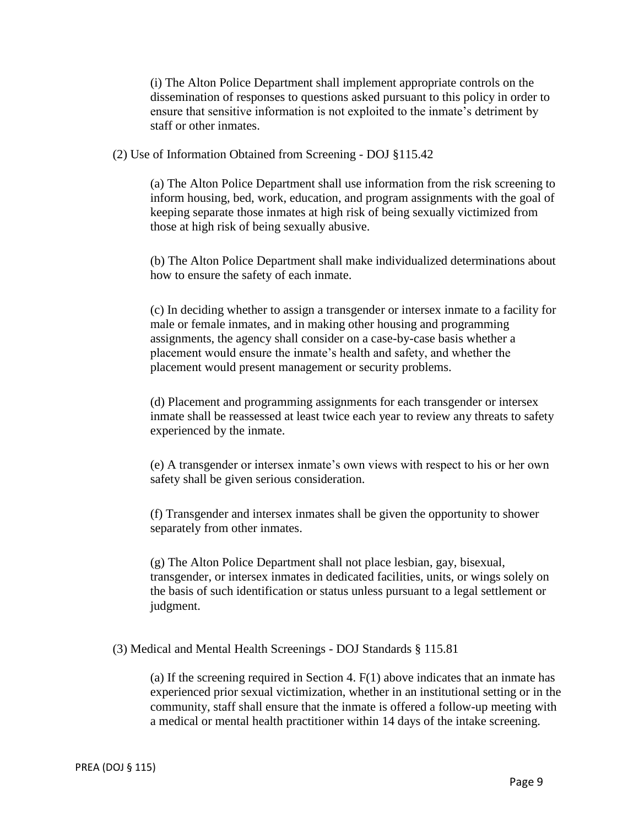(i) The Alton Police Department shall implement appropriate controls on the dissemination of responses to questions asked pursuant to this policy in order to ensure that sensitive information is not exploited to the inmate's detriment by staff or other inmates.

(2) Use of Information Obtained from Screening - DOJ §115.42

(a) The Alton Police Department shall use information from the risk screening to inform housing, bed, work, education, and program assignments with the goal of keeping separate those inmates at high risk of being sexually victimized from those at high risk of being sexually abusive.

(b) The Alton Police Department shall make individualized determinations about how to ensure the safety of each inmate.

(c) In deciding whether to assign a transgender or intersex inmate to a facility for male or female inmates, and in making other housing and programming assignments, the agency shall consider on a case-by-case basis whether a placement would ensure the inmate's health and safety, and whether the placement would present management or security problems.

(d) Placement and programming assignments for each transgender or intersex inmate shall be reassessed at least twice each year to review any threats to safety experienced by the inmate.

(e) A transgender or intersex inmate's own views with respect to his or her own safety shall be given serious consideration.

(f) Transgender and intersex inmates shall be given the opportunity to shower separately from other inmates.

(g) The Alton Police Department shall not place lesbian, gay, bisexual, transgender, or intersex inmates in dedicated facilities, units, or wings solely on the basis of such identification or status unless pursuant to a legal settlement or judgment.

(3) Medical and Mental Health Screenings - DOJ Standards § 115.81

(a) If the screening required in Section 4.  $F(1)$  above indicates that an inmate has experienced prior sexual victimization, whether in an institutional setting or in the community, staff shall ensure that the inmate is offered a follow-up meeting with a medical or mental health practitioner within 14 days of the intake screening.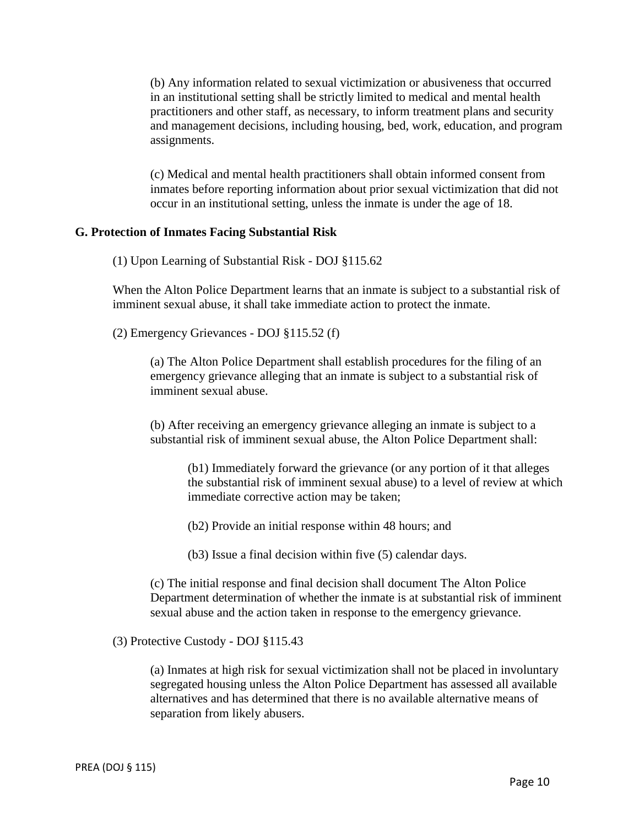(b) Any information related to sexual victimization or abusiveness that occurred in an institutional setting shall be strictly limited to medical and mental health practitioners and other staff, as necessary, to inform treatment plans and security and management decisions, including housing, bed, work, education, and program assignments.

(c) Medical and mental health practitioners shall obtain informed consent from inmates before reporting information about prior sexual victimization that did not occur in an institutional setting, unless the inmate is under the age of 18.

#### **G. Protection of Inmates Facing Substantial Risk**

(1) Upon Learning of Substantial Risk - DOJ §115.62

When the Alton Police Department learns that an inmate is subject to a substantial risk of imminent sexual abuse, it shall take immediate action to protect the inmate.

(2) Emergency Grievances - DOJ §115.52 (f)

(a) The Alton Police Department shall establish procedures for the filing of an emergency grievance alleging that an inmate is subject to a substantial risk of imminent sexual abuse.

(b) After receiving an emergency grievance alleging an inmate is subject to a substantial risk of imminent sexual abuse, the Alton Police Department shall:

(b1) Immediately forward the grievance (or any portion of it that alleges the substantial risk of imminent sexual abuse) to a level of review at which immediate corrective action may be taken;

(b2) Provide an initial response within 48 hours; and

(b3) Issue a final decision within five (5) calendar days.

(c) The initial response and final decision shall document The Alton Police Department determination of whether the inmate is at substantial risk of imminent sexual abuse and the action taken in response to the emergency grievance.

(3) Protective Custody - DOJ §115.43

(a) Inmates at high risk for sexual victimization shall not be placed in involuntary segregated housing unless the Alton Police Department has assessed all available alternatives and has determined that there is no available alternative means of separation from likely abusers.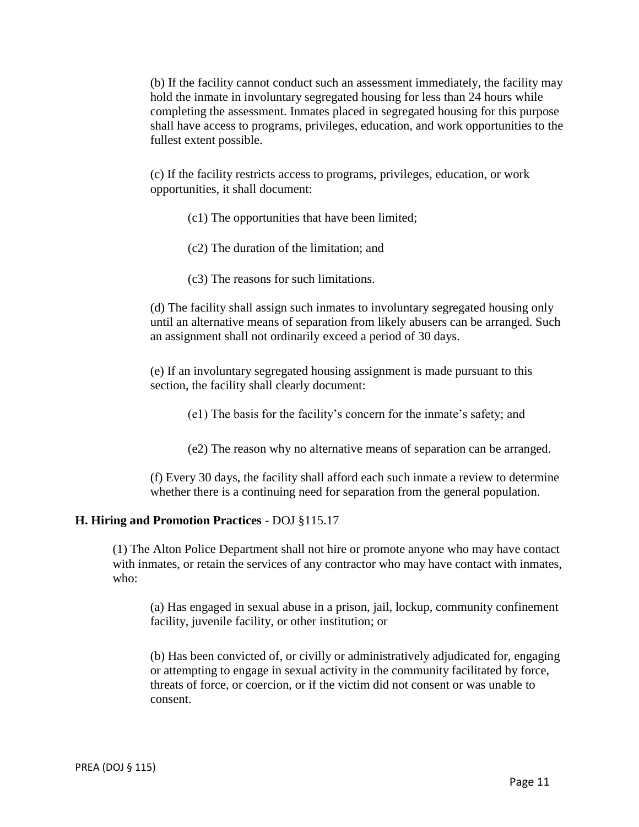(b) If the facility cannot conduct such an assessment immediately, the facility may hold the inmate in involuntary segregated housing for less than 24 hours while completing the assessment. Inmates placed in segregated housing for this purpose shall have access to programs, privileges, education, and work opportunities to the fullest extent possible.

(c) If the facility restricts access to programs, privileges, education, or work opportunities, it shall document:

- (c1) The opportunities that have been limited;
- (c2) The duration of the limitation; and
- (c3) The reasons for such limitations.

(d) The facility shall assign such inmates to involuntary segregated housing only until an alternative means of separation from likely abusers can be arranged. Such an assignment shall not ordinarily exceed a period of 30 days.

(e) If an involuntary segregated housing assignment is made pursuant to this section, the facility shall clearly document:

(e1) The basis for the facility's concern for the inmate's safety; and

(e2) The reason why no alternative means of separation can be arranged.

(f) Every 30 days, the facility shall afford each such inmate a review to determine whether there is a continuing need for separation from the general population.

#### **H. Hiring and Promotion Practices** - DOJ §115.17

(1) The Alton Police Department shall not hire or promote anyone who may have contact with inmates, or retain the services of any contractor who may have contact with inmates, who:

(a) Has engaged in sexual abuse in a prison, jail, lockup, community confinement facility, juvenile facility, or other institution; or

(b) Has been convicted of, or civilly or administratively adjudicated for, engaging or attempting to engage in sexual activity in the community facilitated by force, threats of force, or coercion, or if the victim did not consent or was unable to consent.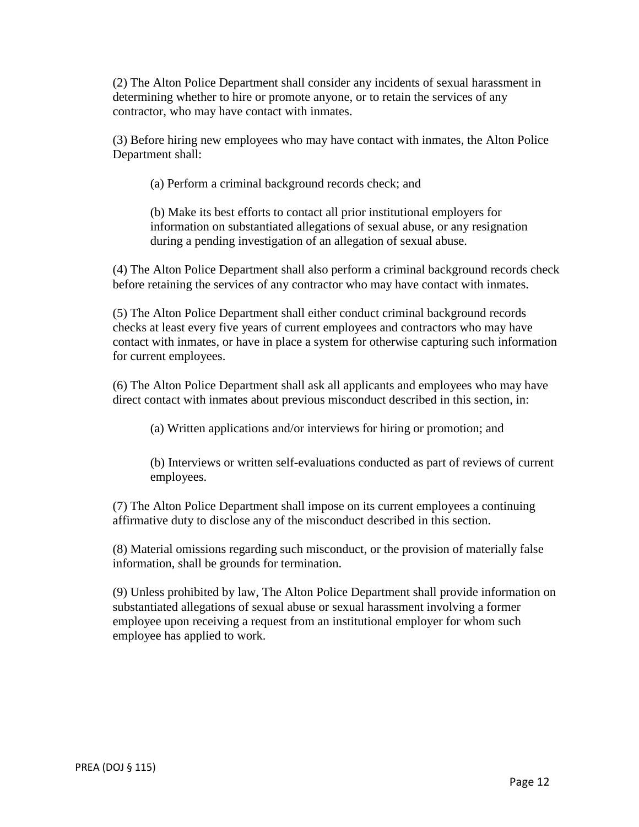(2) The Alton Police Department shall consider any incidents of sexual harassment in determining whether to hire or promote anyone, or to retain the services of any contractor, who may have contact with inmates.

(3) Before hiring new employees who may have contact with inmates, the Alton Police Department shall:

(a) Perform a criminal background records check; and

(b) Make its best efforts to contact all prior institutional employers for information on substantiated allegations of sexual abuse, or any resignation during a pending investigation of an allegation of sexual abuse.

(4) The Alton Police Department shall also perform a criminal background records check before retaining the services of any contractor who may have contact with inmates.

(5) The Alton Police Department shall either conduct criminal background records checks at least every five years of current employees and contractors who may have contact with inmates, or have in place a system for otherwise capturing such information for current employees.

(6) The Alton Police Department shall ask all applicants and employees who may have direct contact with inmates about previous misconduct described in this section, in:

(a) Written applications and/or interviews for hiring or promotion; and

(b) Interviews or written self-evaluations conducted as part of reviews of current employees.

(7) The Alton Police Department shall impose on its current employees a continuing affirmative duty to disclose any of the misconduct described in this section.

(8) Material omissions regarding such misconduct, or the provision of materially false information, shall be grounds for termination.

(9) Unless prohibited by law, The Alton Police Department shall provide information on substantiated allegations of sexual abuse or sexual harassment involving a former employee upon receiving a request from an institutional employer for whom such employee has applied to work.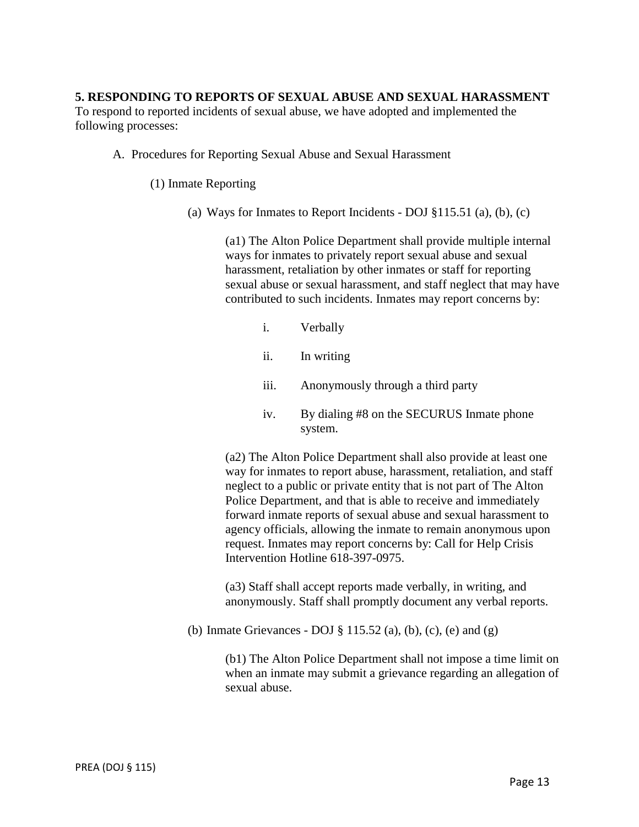#### **5. RESPONDING TO REPORTS OF SEXUAL ABUSE AND SEXUAL HARASSMENT**

To respond to reported incidents of sexual abuse, we have adopted and implemented the following processes:

A. Procedures for Reporting Sexual Abuse and Sexual Harassment

(1) Inmate Reporting

(a) Ways for Inmates to Report Incidents - DOJ  $\S 115.51$  (a), (b), (c)

(a1) The Alton Police Department shall provide multiple internal ways for inmates to privately report sexual abuse and sexual harassment, retaliation by other inmates or staff for reporting sexual abuse or sexual harassment, and staff neglect that may have contributed to such incidents. Inmates may report concerns by:

- i. Verbally
- ii. In writing
- iii. Anonymously through a third party
- iv. By dialing #8 on the SECURUS Inmate phone system.

(a2) The Alton Police Department shall also provide at least one way for inmates to report abuse, harassment, retaliation, and staff neglect to a public or private entity that is not part of The Alton Police Department, and that is able to receive and immediately forward inmate reports of sexual abuse and sexual harassment to agency officials, allowing the inmate to remain anonymous upon request. Inmates may report concerns by: Call for Help Crisis Intervention Hotline 618-397-0975.

(a3) Staff shall accept reports made verbally, in writing, and anonymously. Staff shall promptly document any verbal reports.

(b) Inmate Grievances - DOJ § 115.52 (a), (b), (c), (e) and (g)

(b1) The Alton Police Department shall not impose a time limit on when an inmate may submit a grievance regarding an allegation of sexual abuse.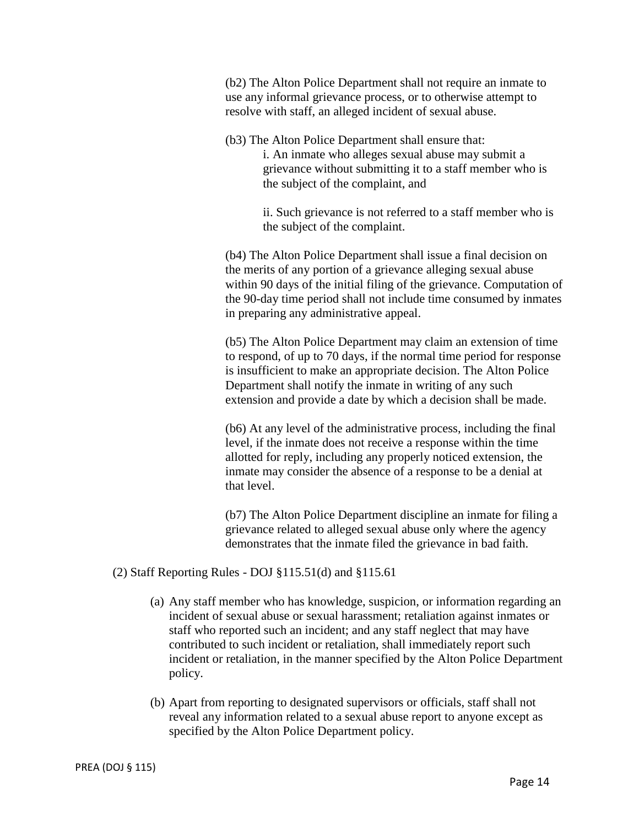(b2) The Alton Police Department shall not require an inmate to use any informal grievance process, or to otherwise attempt to resolve with staff, an alleged incident of sexual abuse.

(b3) The Alton Police Department shall ensure that: i. An inmate who alleges sexual abuse may submit a grievance without submitting it to a staff member who is the subject of the complaint, and

> ii. Such grievance is not referred to a staff member who is the subject of the complaint.

(b4) The Alton Police Department shall issue a final decision on the merits of any portion of a grievance alleging sexual abuse within 90 days of the initial filing of the grievance. Computation of the 90-day time period shall not include time consumed by inmates in preparing any administrative appeal.

(b5) The Alton Police Department may claim an extension of time to respond, of up to 70 days, if the normal time period for response is insufficient to make an appropriate decision. The Alton Police Department shall notify the inmate in writing of any such extension and provide a date by which a decision shall be made.

(b6) At any level of the administrative process, including the final level, if the inmate does not receive a response within the time allotted for reply, including any properly noticed extension, the inmate may consider the absence of a response to be a denial at that level.

(b7) The Alton Police Department discipline an inmate for filing a grievance related to alleged sexual abuse only where the agency demonstrates that the inmate filed the grievance in bad faith.

(2) Staff Reporting Rules - DOJ §115.51(d) and §115.61

- (a) Any staff member who has knowledge, suspicion, or information regarding an incident of sexual abuse or sexual harassment; retaliation against inmates or staff who reported such an incident; and any staff neglect that may have contributed to such incident or retaliation, shall immediately report such incident or retaliation, in the manner specified by the Alton Police Department policy.
- (b) Apart from reporting to designated supervisors or officials, staff shall not reveal any information related to a sexual abuse report to anyone except as specified by the Alton Police Department policy.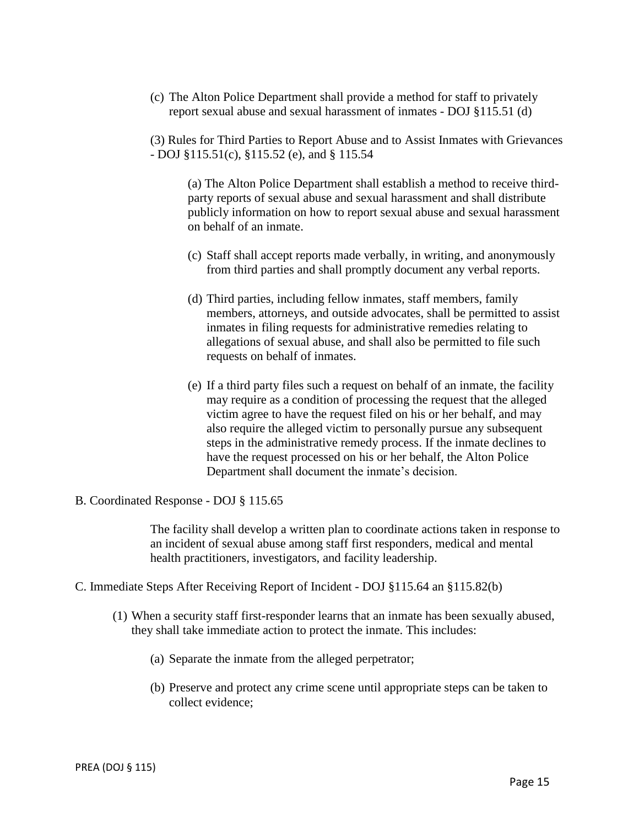(c) The Alton Police Department shall provide a method for staff to privately report sexual abuse and sexual harassment of inmates - DOJ §115.51 (d)

(3) Rules for Third Parties to Report Abuse and to Assist Inmates with Grievances - DOJ §115.51(c), §115.52 (e), and § 115.54

(a) The Alton Police Department shall establish a method to receive thirdparty reports of sexual abuse and sexual harassment and shall distribute publicly information on how to report sexual abuse and sexual harassment on behalf of an inmate.

- (c) Staff shall accept reports made verbally, in writing, and anonymously from third parties and shall promptly document any verbal reports.
- (d) Third parties, including fellow inmates, staff members, family members, attorneys, and outside advocates, shall be permitted to assist inmates in filing requests for administrative remedies relating to allegations of sexual abuse, and shall also be permitted to file such requests on behalf of inmates.
- (e) If a third party files such a request on behalf of an inmate, the facility may require as a condition of processing the request that the alleged victim agree to have the request filed on his or her behalf, and may also require the alleged victim to personally pursue any subsequent steps in the administrative remedy process. If the inmate declines to have the request processed on his or her behalf, the Alton Police Department shall document the inmate's decision.
- B. Coordinated Response DOJ § 115.65

The facility shall develop a written plan to coordinate actions taken in response to an incident of sexual abuse among staff first responders, medical and mental health practitioners, investigators, and facility leadership.

- C. Immediate Steps After Receiving Report of Incident DOJ §115.64 an §115.82(b)
	- (1) When a security staff first-responder learns that an inmate has been sexually abused, they shall take immediate action to protect the inmate. This includes:
		- (a) Separate the inmate from the alleged perpetrator;
		- (b) Preserve and protect any crime scene until appropriate steps can be taken to collect evidence;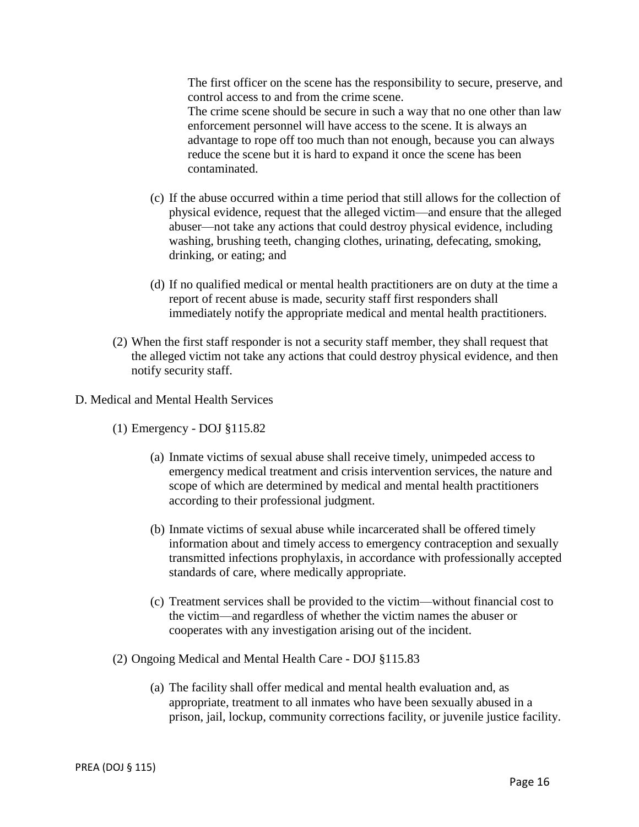The first officer on the scene has the responsibility to secure, preserve, and control access to and from the crime scene.

The crime scene should be secure in such a way that no one other than law enforcement personnel will have access to the scene. It is always an advantage to rope off too much than not enough, because you can always reduce the scene but it is hard to expand it once the scene has been contaminated.

- (c) If the abuse occurred within a time period that still allows for the collection of physical evidence, request that the alleged victim—and ensure that the alleged abuser—not take any actions that could destroy physical evidence, including washing, brushing teeth, changing clothes, urinating, defecating, smoking, drinking, or eating; and
- (d) If no qualified medical or mental health practitioners are on duty at the time a report of recent abuse is made, security staff first responders shall immediately notify the appropriate medical and mental health practitioners.
- (2) When the first staff responder is not a security staff member, they shall request that the alleged victim not take any actions that could destroy physical evidence, and then notify security staff.
- D. Medical and Mental Health Services
	- (1) Emergency DOJ §115.82
		- (a) Inmate victims of sexual abuse shall receive timely, unimpeded access to emergency medical treatment and crisis intervention services, the nature and scope of which are determined by medical and mental health practitioners according to their professional judgment.
		- (b) Inmate victims of sexual abuse while incarcerated shall be offered timely information about and timely access to emergency contraception and sexually transmitted infections prophylaxis, in accordance with professionally accepted standards of care, where medically appropriate.
		- (c) Treatment services shall be provided to the victim—without financial cost to the victim—and regardless of whether the victim names the abuser or cooperates with any investigation arising out of the incident.
	- (2) Ongoing Medical and Mental Health Care DOJ §115.83
		- (a) The facility shall offer medical and mental health evaluation and, as appropriate, treatment to all inmates who have been sexually abused in a prison, jail, lockup, community corrections facility, or juvenile justice facility.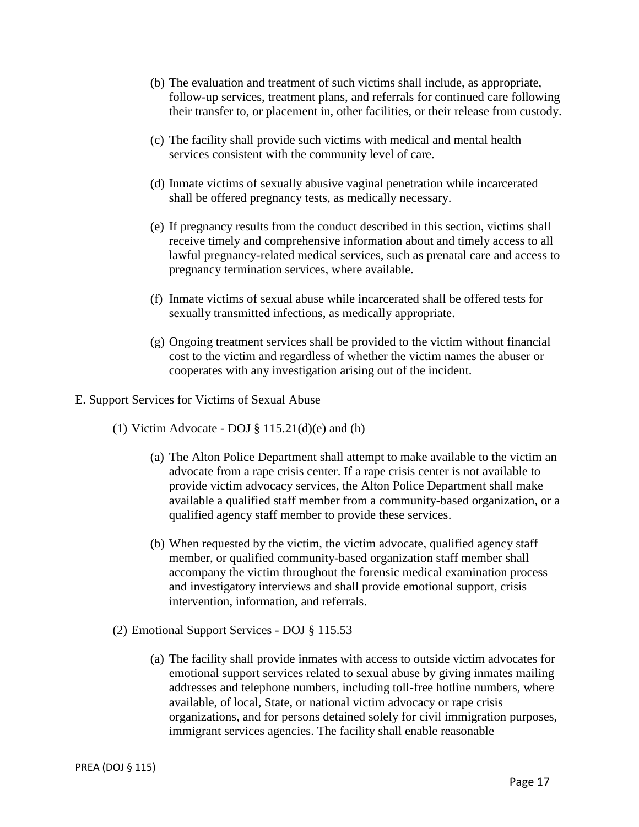- (b) The evaluation and treatment of such victims shall include, as appropriate, follow-up services, treatment plans, and referrals for continued care following their transfer to, or placement in, other facilities, or their release from custody.
- (c) The facility shall provide such victims with medical and mental health services consistent with the community level of care.
- (d) Inmate victims of sexually abusive vaginal penetration while incarcerated shall be offered pregnancy tests, as medically necessary.
- (e) If pregnancy results from the conduct described in this section, victims shall receive timely and comprehensive information about and timely access to all lawful pregnancy-related medical services, such as prenatal care and access to pregnancy termination services, where available.
- (f) Inmate victims of sexual abuse while incarcerated shall be offered tests for sexually transmitted infections, as medically appropriate.
- (g) Ongoing treatment services shall be provided to the victim without financial cost to the victim and regardless of whether the victim names the abuser or cooperates with any investigation arising out of the incident.
- E. Support Services for Victims of Sexual Abuse
	- (1) Victim Advocate DOJ  $\S$  115.21(d)(e) and (h)
		- (a) The Alton Police Department shall attempt to make available to the victim an advocate from a rape crisis center. If a rape crisis center is not available to provide victim advocacy services, the Alton Police Department shall make available a qualified staff member from a community-based organization, or a qualified agency staff member to provide these services.
		- (b) When requested by the victim, the victim advocate, qualified agency staff member, or qualified community-based organization staff member shall accompany the victim throughout the forensic medical examination process and investigatory interviews and shall provide emotional support, crisis intervention, information, and referrals.
	- (2) Emotional Support Services DOJ § 115.53
		- (a) The facility shall provide inmates with access to outside victim advocates for emotional support services related to sexual abuse by giving inmates mailing addresses and telephone numbers, including toll-free hotline numbers, where available, of local, State, or national victim advocacy or rape crisis organizations, and for persons detained solely for civil immigration purposes, immigrant services agencies. The facility shall enable reasonable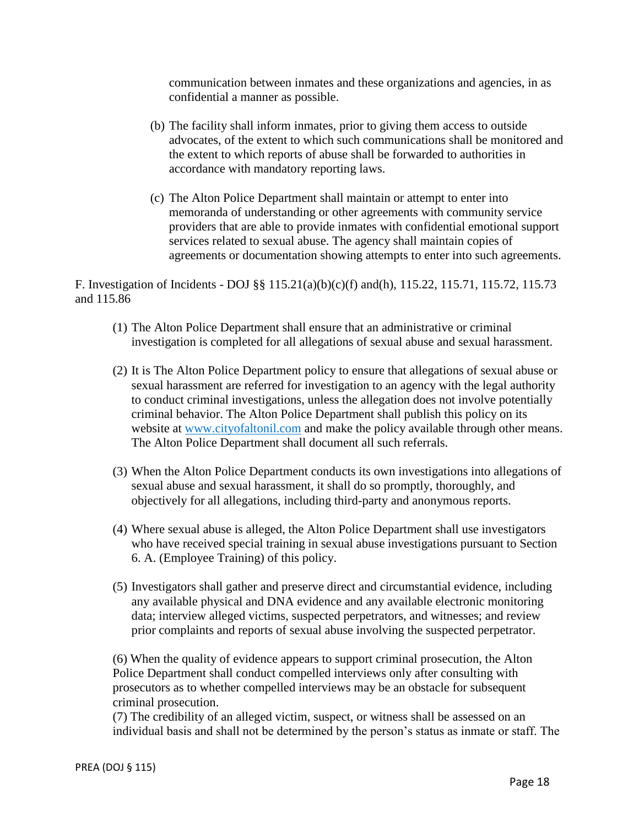communication between inmates and these organizations and agencies, in as confidential a manner as possible.

- (b) The facility shall inform inmates, prior to giving them access to outside advocates, of the extent to which such communications shall be monitored and the extent to which reports of abuse shall be forwarded to authorities in accordance with mandatory reporting laws.
- (c) The Alton Police Department shall maintain or attempt to enter into memoranda of understanding or other agreements with community service providers that are able to provide inmates with confidential emotional support services related to sexual abuse. The agency shall maintain copies of agreements or documentation showing attempts to enter into such agreements.

F. Investigation of Incidents - DOJ §§ 115.21(a)(b)(c)(f) and(h), 115.22, 115.71, 115.72, 115.73 and 115.86

- (1) The Alton Police Department shall ensure that an administrative or criminal investigation is completed for all allegations of sexual abuse and sexual harassment.
- (2) It is The Alton Police Department policy to ensure that allegations of sexual abuse or sexual harassment are referred for investigation to an agency with the legal authority to conduct criminal investigations, unless the allegation does not involve potentially criminal behavior. The Alton Police Department shall publish this policy on its website at www.cityofaltonil.com and make the policy available through other means. The Alton Police Department shall document all such referrals.
- (3) When the Alton Police Department conducts its own investigations into allegations of sexual abuse and sexual harassment, it shall do so promptly, thoroughly, and objectively for all allegations, including third-party and anonymous reports.
- (4) Where sexual abuse is alleged, the Alton Police Department shall use investigators who have received special training in sexual abuse investigations pursuant to Section 6. A. (Employee Training) of this policy.
- (5) Investigators shall gather and preserve direct and circumstantial evidence, including any available physical and DNA evidence and any available electronic monitoring data; interview alleged victims, suspected perpetrators, and witnesses; and review prior complaints and reports of sexual abuse involving the suspected perpetrator.

(6) When the quality of evidence appears to support criminal prosecution, the Alton Police Department shall conduct compelled interviews only after consulting with prosecutors as to whether compelled interviews may be an obstacle for subsequent criminal prosecution.

(7) The credibility of an alleged victim, suspect, or witness shall be assessed on an individual basis and shall not be determined by the person's status as inmate or staff. The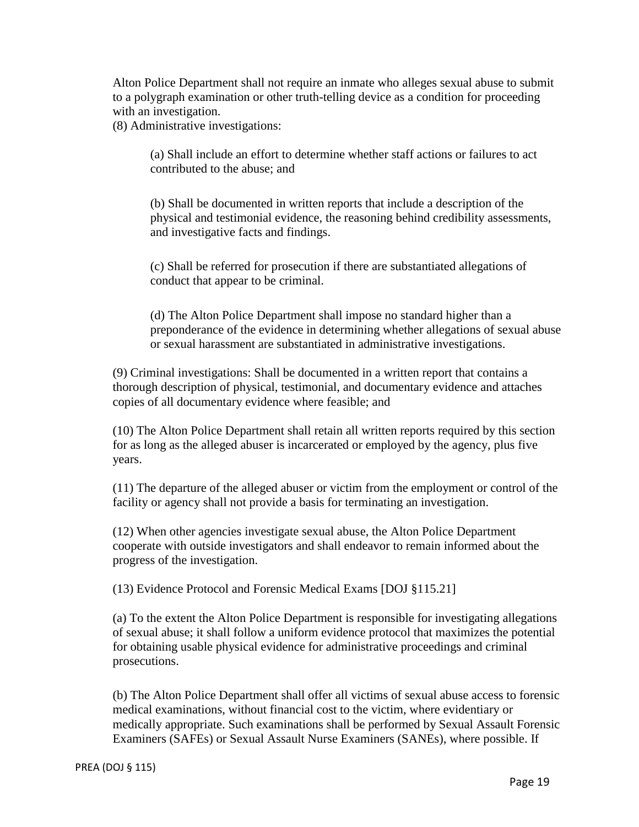Alton Police Department shall not require an inmate who alleges sexual abuse to submit to a polygraph examination or other truth-telling device as a condition for proceeding with an investigation.

(8) Administrative investigations:

(a) Shall include an effort to determine whether staff actions or failures to act contributed to the abuse; and

(b) Shall be documented in written reports that include a description of the physical and testimonial evidence, the reasoning behind credibility assessments, and investigative facts and findings.

(c) Shall be referred for prosecution if there are substantiated allegations of conduct that appear to be criminal.

(d) The Alton Police Department shall impose no standard higher than a preponderance of the evidence in determining whether allegations of sexual abuse or sexual harassment are substantiated in administrative investigations.

(9) Criminal investigations: Shall be documented in a written report that contains a thorough description of physical, testimonial, and documentary evidence and attaches copies of all documentary evidence where feasible; and

(10) The Alton Police Department shall retain all written reports required by this section for as long as the alleged abuser is incarcerated or employed by the agency, plus five years.

(11) The departure of the alleged abuser or victim from the employment or control of the facility or agency shall not provide a basis for terminating an investigation.

(12) When other agencies investigate sexual abuse, the Alton Police Department cooperate with outside investigators and shall endeavor to remain informed about the progress of the investigation.

(13) Evidence Protocol and Forensic Medical Exams [DOJ §115.21]

(a) To the extent the Alton Police Department is responsible for investigating allegations of sexual abuse; it shall follow a uniform evidence protocol that maximizes the potential for obtaining usable physical evidence for administrative proceedings and criminal prosecutions.

(b) The Alton Police Department shall offer all victims of sexual abuse access to forensic medical examinations, without financial cost to the victim, where evidentiary or medically appropriate. Such examinations shall be performed by Sexual Assault Forensic Examiners (SAFEs) or Sexual Assault Nurse Examiners (SANEs), where possible. If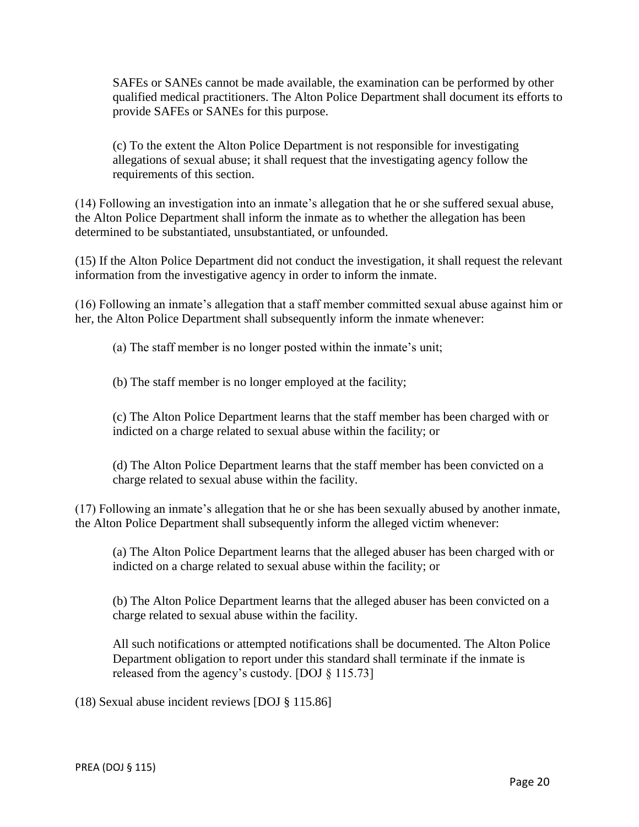SAFEs or SANEs cannot be made available, the examination can be performed by other qualified medical practitioners. The Alton Police Department shall document its efforts to provide SAFEs or SANEs for this purpose.

(c) To the extent the Alton Police Department is not responsible for investigating allegations of sexual abuse; it shall request that the investigating agency follow the requirements of this section.

(14) Following an investigation into an inmate's allegation that he or she suffered sexual abuse, the Alton Police Department shall inform the inmate as to whether the allegation has been determined to be substantiated, unsubstantiated, or unfounded.

(15) If the Alton Police Department did not conduct the investigation, it shall request the relevant information from the investigative agency in order to inform the inmate.

(16) Following an inmate's allegation that a staff member committed sexual abuse against him or her, the Alton Police Department shall subsequently inform the inmate whenever:

(a) The staff member is no longer posted within the inmate's unit;

(b) The staff member is no longer employed at the facility;

(c) The Alton Police Department learns that the staff member has been charged with or indicted on a charge related to sexual abuse within the facility; or

(d) The Alton Police Department learns that the staff member has been convicted on a charge related to sexual abuse within the facility.

(17) Following an inmate's allegation that he or she has been sexually abused by another inmate, the Alton Police Department shall subsequently inform the alleged victim whenever:

(a) The Alton Police Department learns that the alleged abuser has been charged with or indicted on a charge related to sexual abuse within the facility; or

(b) The Alton Police Department learns that the alleged abuser has been convicted on a charge related to sexual abuse within the facility.

All such notifications or attempted notifications shall be documented. The Alton Police Department obligation to report under this standard shall terminate if the inmate is released from the agency's custody. [DOJ § 115.73]

(18) Sexual abuse incident reviews [DOJ § 115.86]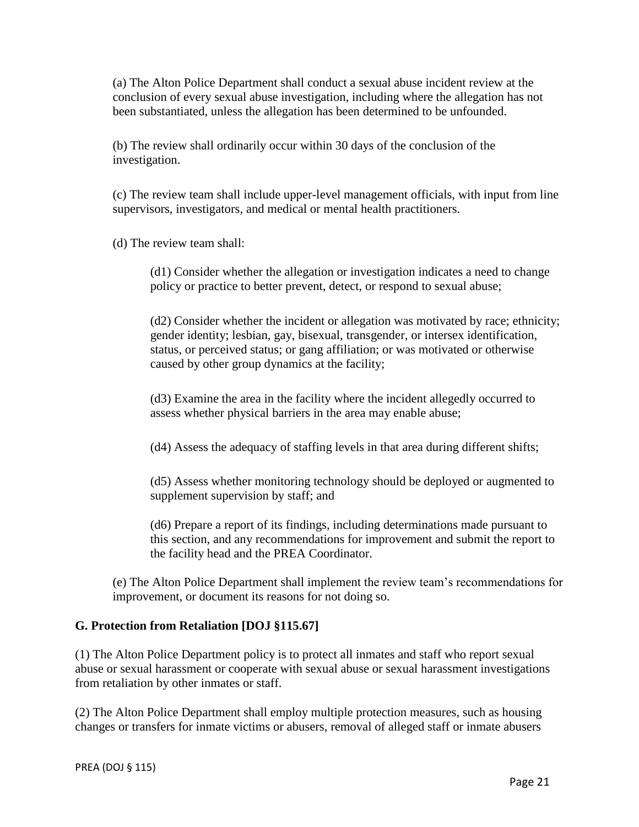(a) The Alton Police Department shall conduct a sexual abuse incident review at the conclusion of every sexual abuse investigation, including where the allegation has not been substantiated, unless the allegation has been determined to be unfounded.

(b) The review shall ordinarily occur within 30 days of the conclusion of the investigation.

(c) The review team shall include upper-level management officials, with input from line supervisors, investigators, and medical or mental health practitioners.

(d) The review team shall:

(d1) Consider whether the allegation or investigation indicates a need to change policy or practice to better prevent, detect, or respond to sexual abuse;

(d2) Consider whether the incident or allegation was motivated by race; ethnicity; gender identity; lesbian, gay, bisexual, transgender, or intersex identification, status, or perceived status; or gang affiliation; or was motivated or otherwise caused by other group dynamics at the facility;

(d3) Examine the area in the facility where the incident allegedly occurred to assess whether physical barriers in the area may enable abuse;

(d4) Assess the adequacy of staffing levels in that area during different shifts;

(d5) Assess whether monitoring technology should be deployed or augmented to supplement supervision by staff; and

(d6) Prepare a report of its findings, including determinations made pursuant to this section, and any recommendations for improvement and submit the report to the facility head and the PREA Coordinator.

(e) The Alton Police Department shall implement the review team's recommendations for improvement, or document its reasons for not doing so.

## **G. Protection from Retaliation [DOJ §115.67]**

(1) The Alton Police Department policy is to protect all inmates and staff who report sexual abuse or sexual harassment or cooperate with sexual abuse or sexual harassment investigations from retaliation by other inmates or staff.

(2) The Alton Police Department shall employ multiple protection measures, such as housing changes or transfers for inmate victims or abusers, removal of alleged staff or inmate abusers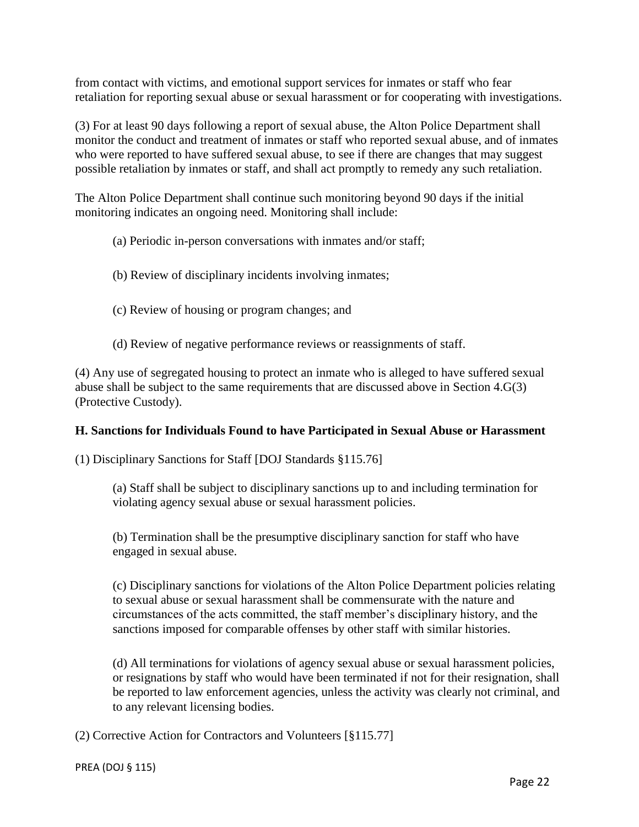from contact with victims, and emotional support services for inmates or staff who fear retaliation for reporting sexual abuse or sexual harassment or for cooperating with investigations.

(3) For at least 90 days following a report of sexual abuse, the Alton Police Department shall monitor the conduct and treatment of inmates or staff who reported sexual abuse, and of inmates who were reported to have suffered sexual abuse, to see if there are changes that may suggest possible retaliation by inmates or staff, and shall act promptly to remedy any such retaliation.

The Alton Police Department shall continue such monitoring beyond 90 days if the initial monitoring indicates an ongoing need. Monitoring shall include:

- (a) Periodic in-person conversations with inmates and/or staff;
- (b) Review of disciplinary incidents involving inmates;
- (c) Review of housing or program changes; and
- (d) Review of negative performance reviews or reassignments of staff.

(4) Any use of segregated housing to protect an inmate who is alleged to have suffered sexual abuse shall be subject to the same requirements that are discussed above in Section 4.G(3) (Protective Custody).

#### **H. Sanctions for Individuals Found to have Participated in Sexual Abuse or Harassment**

(1) Disciplinary Sanctions for Staff [DOJ Standards §115.76]

(a) Staff shall be subject to disciplinary sanctions up to and including termination for violating agency sexual abuse or sexual harassment policies.

(b) Termination shall be the presumptive disciplinary sanction for staff who have engaged in sexual abuse.

(c) Disciplinary sanctions for violations of the Alton Police Department policies relating to sexual abuse or sexual harassment shall be commensurate with the nature and circumstances of the acts committed, the staff member's disciplinary history, and the sanctions imposed for comparable offenses by other staff with similar histories.

(d) All terminations for violations of agency sexual abuse or sexual harassment policies, or resignations by staff who would have been terminated if not for their resignation, shall be reported to law enforcement agencies, unless the activity was clearly not criminal, and to any relevant licensing bodies.

(2) Corrective Action for Contractors and Volunteers [§115.77]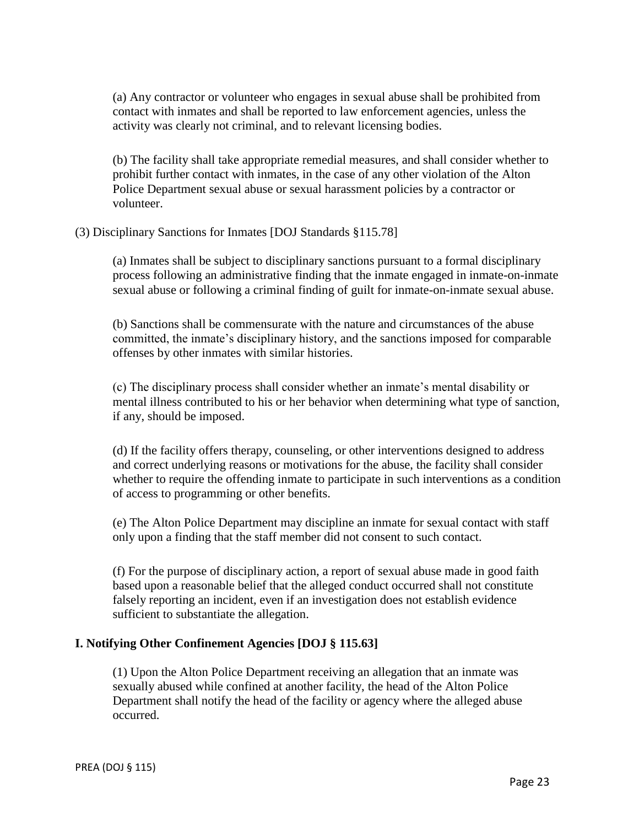(a) Any contractor or volunteer who engages in sexual abuse shall be prohibited from contact with inmates and shall be reported to law enforcement agencies, unless the activity was clearly not criminal, and to relevant licensing bodies.

(b) The facility shall take appropriate remedial measures, and shall consider whether to prohibit further contact with inmates, in the case of any other violation of the Alton Police Department sexual abuse or sexual harassment policies by a contractor or volunteer.

(3) Disciplinary Sanctions for Inmates [DOJ Standards §115.78]

(a) Inmates shall be subject to disciplinary sanctions pursuant to a formal disciplinary process following an administrative finding that the inmate engaged in inmate-on-inmate sexual abuse or following a criminal finding of guilt for inmate-on-inmate sexual abuse.

(b) Sanctions shall be commensurate with the nature and circumstances of the abuse committed, the inmate's disciplinary history, and the sanctions imposed for comparable offenses by other inmates with similar histories.

(c) The disciplinary process shall consider whether an inmate's mental disability or mental illness contributed to his or her behavior when determining what type of sanction, if any, should be imposed.

(d) If the facility offers therapy, counseling, or other interventions designed to address and correct underlying reasons or motivations for the abuse, the facility shall consider whether to require the offending inmate to participate in such interventions as a condition of access to programming or other benefits.

(e) The Alton Police Department may discipline an inmate for sexual contact with staff only upon a finding that the staff member did not consent to such contact.

(f) For the purpose of disciplinary action, a report of sexual abuse made in good faith based upon a reasonable belief that the alleged conduct occurred shall not constitute falsely reporting an incident, even if an investigation does not establish evidence sufficient to substantiate the allegation.

## **I. Notifying Other Confinement Agencies [DOJ § 115.63]**

(1) Upon the Alton Police Department receiving an allegation that an inmate was sexually abused while confined at another facility, the head of the Alton Police Department shall notify the head of the facility or agency where the alleged abuse occurred.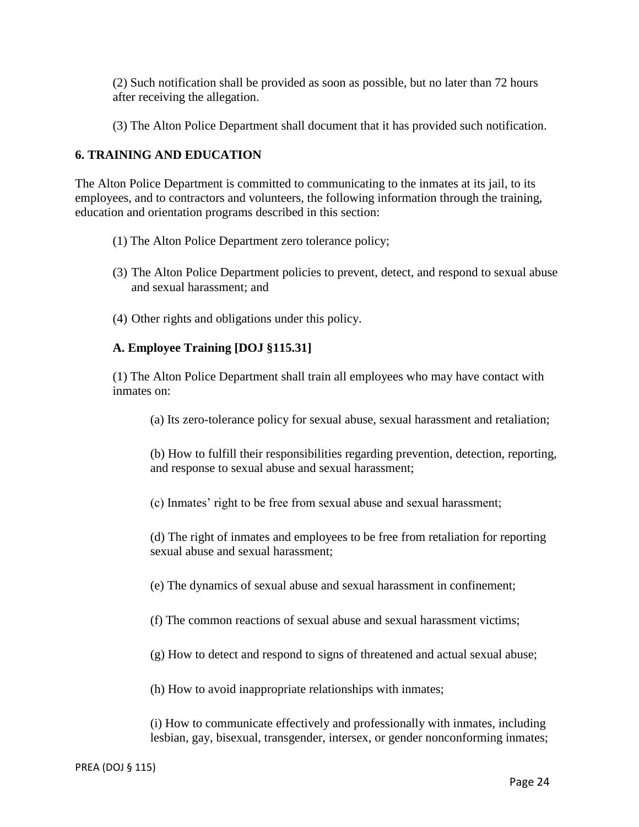(2) Such notification shall be provided as soon as possible, but no later than 72 hours after receiving the allegation.

(3) The Alton Police Department shall document that it has provided such notification.

## **6. TRAINING AND EDUCATION**

The Alton Police Department is committed to communicating to the inmates at its jail, to its employees, and to contractors and volunteers, the following information through the training, education and orientation programs described in this section:

- (1) The Alton Police Department zero tolerance policy;
- (3) The Alton Police Department policies to prevent, detect, and respond to sexual abuse and sexual harassment; and
- (4) Other rights and obligations under this policy.

## **A. Employee Training [DOJ §115.31]**

(1) The Alton Police Department shall train all employees who may have contact with inmates on:

(a) Its zero-tolerance policy for sexual abuse, sexual harassment and retaliation;

(b) How to fulfill their responsibilities regarding prevention, detection, reporting, and response to sexual abuse and sexual harassment;

(c) Inmates' right to be free from sexual abuse and sexual harassment;

(d) The right of inmates and employees to be free from retaliation for reporting sexual abuse and sexual harassment;

(e) The dynamics of sexual abuse and sexual harassment in confinement;

- (f) The common reactions of sexual abuse and sexual harassment victims;
- (g) How to detect and respond to signs of threatened and actual sexual abuse;

(h) How to avoid inappropriate relationships with inmates;

(i) How to communicate effectively and professionally with inmates, including lesbian, gay, bisexual, transgender, intersex, or gender nonconforming inmates;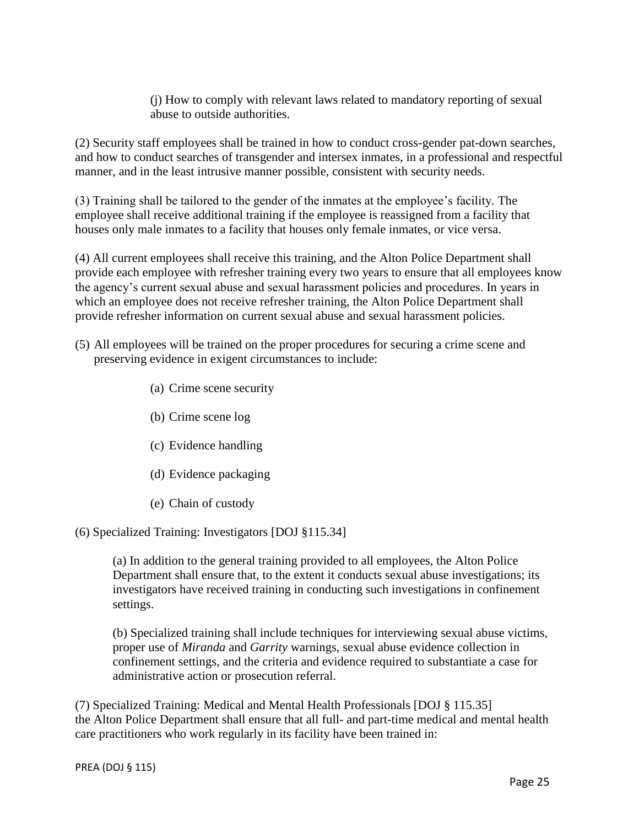(j) How to comply with relevant laws related to mandatory reporting of sexual abuse to outside authorities.

(2) Security staff employees shall be trained in how to conduct cross-gender pat-down searches, and how to conduct searches of transgender and intersex inmates, in a professional and respectful manner, and in the least intrusive manner possible, consistent with security needs.

(3) Training shall be tailored to the gender of the inmates at the employee's facility. The employee shall receive additional training if the employee is reassigned from a facility that houses only male inmates to a facility that houses only female inmates, or vice versa.

(4) All current employees shall receive this training, and the Alton Police Department shall provide each employee with refresher training every two years to ensure that all employees know the agency's current sexual abuse and sexual harassment policies and procedures. In years in which an employee does not receive refresher training, the Alton Police Department shall provide refresher information on current sexual abuse and sexual harassment policies.

- (5) All employees will be trained on the proper procedures for securing a crime scene and preserving evidence in exigent circumstances to include:
	- (a) Crime scene security
	- (b) Crime scene log
	- (c) Evidence handling
	- (d) Evidence packaging
	- (e) Chain of custody

## (6) Specialized Training: Investigators [DOJ §115.34]

(a) In addition to the general training provided to all employees, the Alton Police Department shall ensure that, to the extent it conducts sexual abuse investigations; its investigators have received training in conducting such investigations in confinement settings.

(b) Specialized training shall include techniques for interviewing sexual abuse victims, proper use of *Miranda* and *Garrity* warnings, sexual abuse evidence collection in confinement settings, and the criteria and evidence required to substantiate a case for administrative action or prosecution referral.

(7) Specialized Training: Medical and Mental Health Professionals [DOJ § 115.35] the Alton Police Department shall ensure that all full- and part-time medical and mental health care practitioners who work regularly in its facility have been trained in: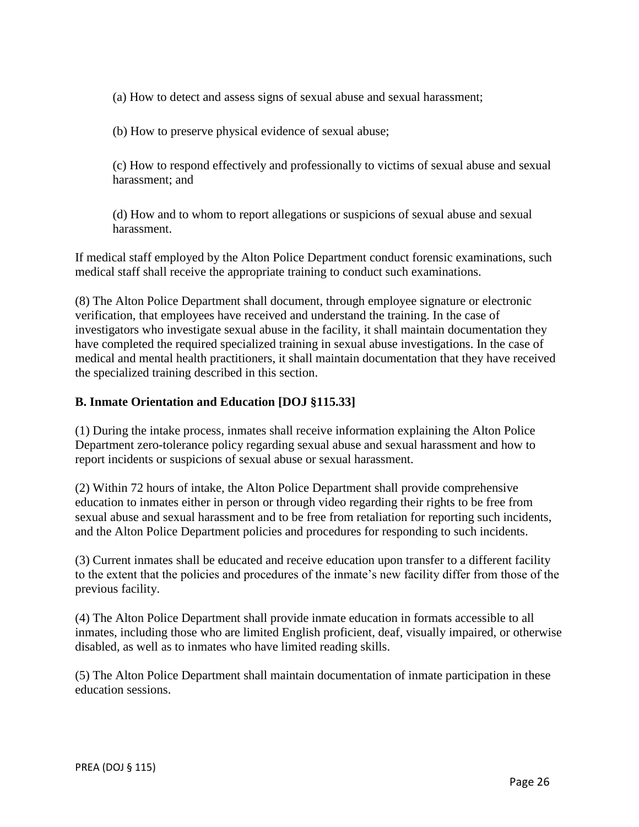(a) How to detect and assess signs of sexual abuse and sexual harassment;

(b) How to preserve physical evidence of sexual abuse;

(c) How to respond effectively and professionally to victims of sexual abuse and sexual harassment; and

(d) How and to whom to report allegations or suspicions of sexual abuse and sexual harassment.

If medical staff employed by the Alton Police Department conduct forensic examinations, such medical staff shall receive the appropriate training to conduct such examinations.

(8) The Alton Police Department shall document, through employee signature or electronic verification, that employees have received and understand the training. In the case of investigators who investigate sexual abuse in the facility, it shall maintain documentation they have completed the required specialized training in sexual abuse investigations. In the case of medical and mental health practitioners, it shall maintain documentation that they have received the specialized training described in this section.

## **B. Inmate Orientation and Education [DOJ §115.33]**

(1) During the intake process, inmates shall receive information explaining the Alton Police Department zero-tolerance policy regarding sexual abuse and sexual harassment and how to report incidents or suspicions of sexual abuse or sexual harassment.

(2) Within 72 hours of intake, the Alton Police Department shall provide comprehensive education to inmates either in person or through video regarding their rights to be free from sexual abuse and sexual harassment and to be free from retaliation for reporting such incidents, and the Alton Police Department policies and procedures for responding to such incidents.

(3) Current inmates shall be educated and receive education upon transfer to a different facility to the extent that the policies and procedures of the inmate's new facility differ from those of the previous facility.

(4) The Alton Police Department shall provide inmate education in formats accessible to all inmates, including those who are limited English proficient, deaf, visually impaired, or otherwise disabled, as well as to inmates who have limited reading skills.

(5) The Alton Police Department shall maintain documentation of inmate participation in these education sessions.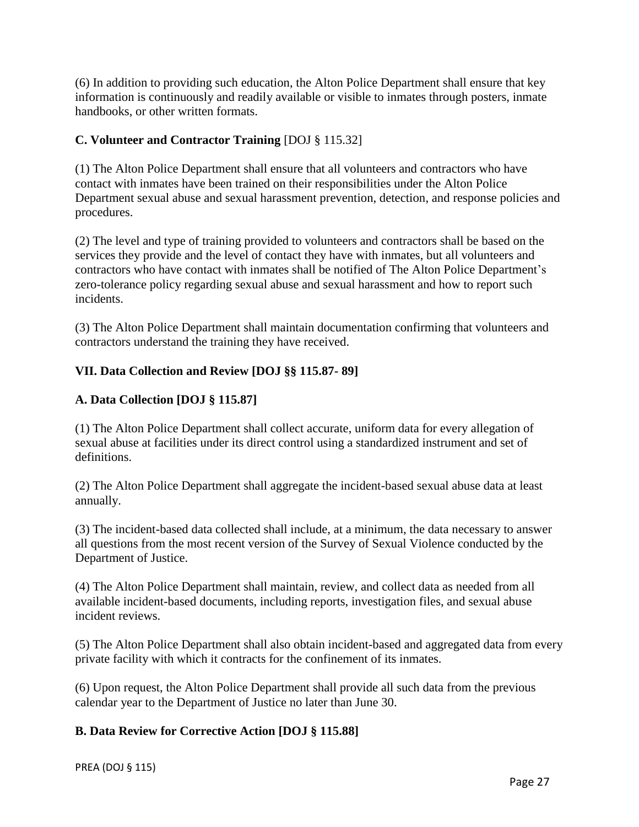(6) In addition to providing such education, the Alton Police Department shall ensure that key information is continuously and readily available or visible to inmates through posters, inmate handbooks, or other written formats.

## **C. Volunteer and Contractor Training** [DOJ § 115.32]

(1) The Alton Police Department shall ensure that all volunteers and contractors who have contact with inmates have been trained on their responsibilities under the Alton Police Department sexual abuse and sexual harassment prevention, detection, and response policies and procedures.

(2) The level and type of training provided to volunteers and contractors shall be based on the services they provide and the level of contact they have with inmates, but all volunteers and contractors who have contact with inmates shall be notified of The Alton Police Department's zero-tolerance policy regarding sexual abuse and sexual harassment and how to report such incidents.

(3) The Alton Police Department shall maintain documentation confirming that volunteers and contractors understand the training they have received.

## **VII. Data Collection and Review [DOJ §§ 115.87- 89]**

## **A. Data Collection [DOJ § 115.87]**

(1) The Alton Police Department shall collect accurate, uniform data for every allegation of sexual abuse at facilities under its direct control using a standardized instrument and set of definitions.

(2) The Alton Police Department shall aggregate the incident-based sexual abuse data at least annually.

(3) The incident-based data collected shall include, at a minimum, the data necessary to answer all questions from the most recent version of the Survey of Sexual Violence conducted by the Department of Justice.

(4) The Alton Police Department shall maintain, review, and collect data as needed from all available incident-based documents, including reports, investigation files, and sexual abuse incident reviews.

(5) The Alton Police Department shall also obtain incident-based and aggregated data from every private facility with which it contracts for the confinement of its inmates.

(6) Upon request, the Alton Police Department shall provide all such data from the previous calendar year to the Department of Justice no later than June 30.

## **B. Data Review for Corrective Action [DOJ § 115.88]**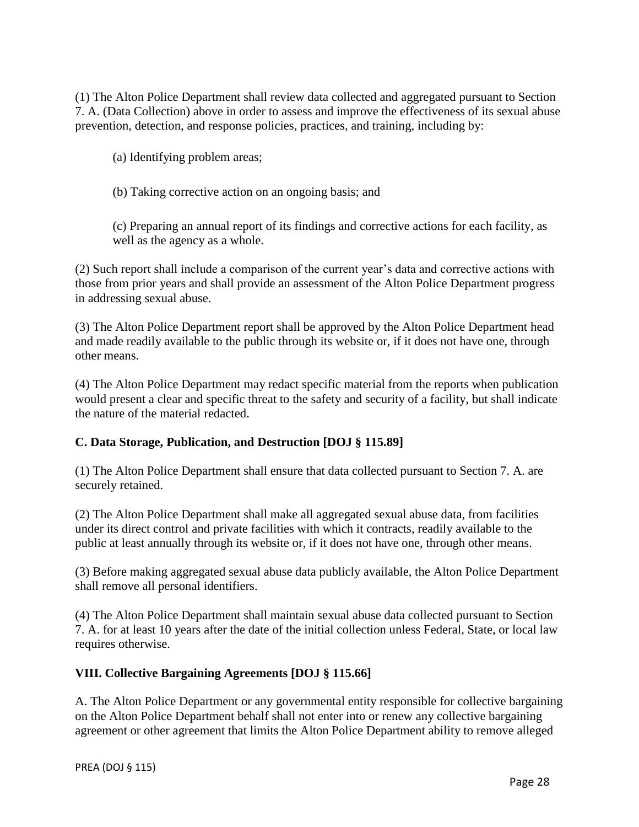(1) The Alton Police Department shall review data collected and aggregated pursuant to Section 7. A. (Data Collection) above in order to assess and improve the effectiveness of its sexual abuse prevention, detection, and response policies, practices, and training, including by:

(a) Identifying problem areas;

(b) Taking corrective action on an ongoing basis; and

(c) Preparing an annual report of its findings and corrective actions for each facility, as well as the agency as a whole.

(2) Such report shall include a comparison of the current year's data and corrective actions with those from prior years and shall provide an assessment of the Alton Police Department progress in addressing sexual abuse.

(3) The Alton Police Department report shall be approved by the Alton Police Department head and made readily available to the public through its website or, if it does not have one, through other means.

(4) The Alton Police Department may redact specific material from the reports when publication would present a clear and specific threat to the safety and security of a facility, but shall indicate the nature of the material redacted.

## **C. Data Storage, Publication, and Destruction [DOJ § 115.89]**

(1) The Alton Police Department shall ensure that data collected pursuant to Section 7. A. are securely retained.

(2) The Alton Police Department shall make all aggregated sexual abuse data, from facilities under its direct control and private facilities with which it contracts, readily available to the public at least annually through its website or, if it does not have one, through other means.

(3) Before making aggregated sexual abuse data publicly available, the Alton Police Department shall remove all personal identifiers.

(4) The Alton Police Department shall maintain sexual abuse data collected pursuant to Section 7. A. for at least 10 years after the date of the initial collection unless Federal, State, or local law requires otherwise.

## **VIII. Collective Bargaining Agreements [DOJ § 115.66]**

A. The Alton Police Department or any governmental entity responsible for collective bargaining on the Alton Police Department behalf shall not enter into or renew any collective bargaining agreement or other agreement that limits the Alton Police Department ability to remove alleged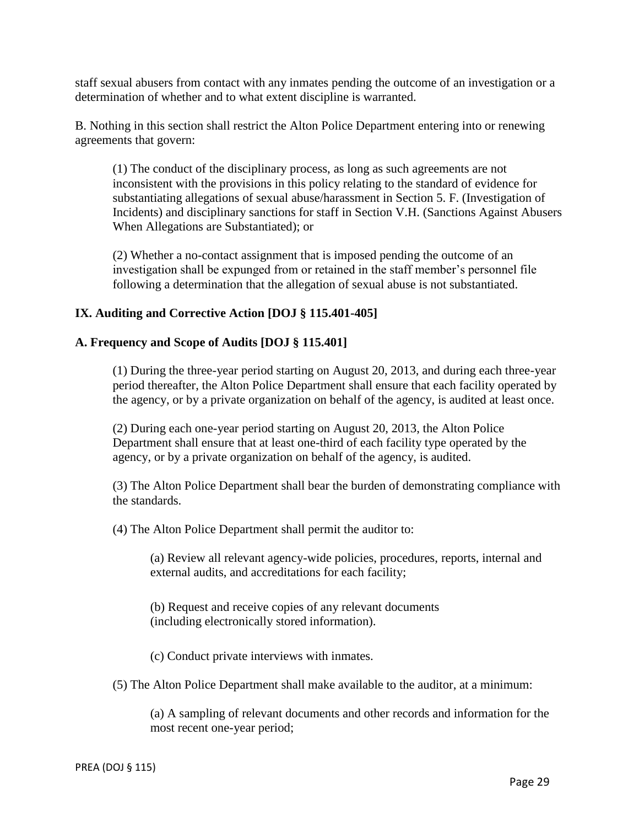staff sexual abusers from contact with any inmates pending the outcome of an investigation or a determination of whether and to what extent discipline is warranted.

B. Nothing in this section shall restrict the Alton Police Department entering into or renewing agreements that govern:

(1) The conduct of the disciplinary process, as long as such agreements are not inconsistent with the provisions in this policy relating to the standard of evidence for substantiating allegations of sexual abuse/harassment in Section 5. F. (Investigation of Incidents) and disciplinary sanctions for staff in Section V.H. (Sanctions Against Abusers When Allegations are Substantiated); or

(2) Whether a no-contact assignment that is imposed pending the outcome of an investigation shall be expunged from or retained in the staff member's personnel file following a determination that the allegation of sexual abuse is not substantiated.

#### **IX. Auditing and Corrective Action [DOJ § 115.401-405]**

#### **A. Frequency and Scope of Audits [DOJ § 115.401]**

(1) During the three-year period starting on August 20, 2013, and during each three-year period thereafter, the Alton Police Department shall ensure that each facility operated by the agency, or by a private organization on behalf of the agency, is audited at least once.

(2) During each one-year period starting on August 20, 2013, the Alton Police Department shall ensure that at least one-third of each facility type operated by the agency, or by a private organization on behalf of the agency, is audited.

(3) The Alton Police Department shall bear the burden of demonstrating compliance with the standards.

(4) The Alton Police Department shall permit the auditor to:

(a) Review all relevant agency-wide policies, procedures, reports, internal and external audits, and accreditations for each facility;

(b) Request and receive copies of any relevant documents (including electronically stored information).

(c) Conduct private interviews with inmates.

(5) The Alton Police Department shall make available to the auditor, at a minimum:

(a) A sampling of relevant documents and other records and information for the most recent one-year period;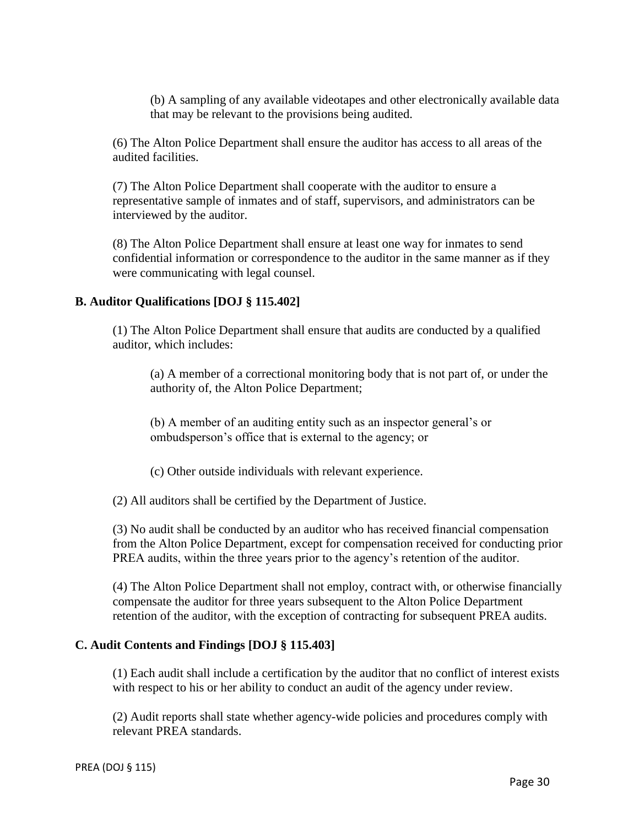(b) A sampling of any available videotapes and other electronically available data that may be relevant to the provisions being audited.

(6) The Alton Police Department shall ensure the auditor has access to all areas of the audited facilities.

(7) The Alton Police Department shall cooperate with the auditor to ensure a representative sample of inmates and of staff, supervisors, and administrators can be interviewed by the auditor.

(8) The Alton Police Department shall ensure at least one way for inmates to send confidential information or correspondence to the auditor in the same manner as if they were communicating with legal counsel.

#### **B. Auditor Qualifications [DOJ § 115.402]**

(1) The Alton Police Department shall ensure that audits are conducted by a qualified auditor, which includes:

(a) A member of a correctional monitoring body that is not part of, or under the authority of, the Alton Police Department;

(b) A member of an auditing entity such as an inspector general's or ombudsperson's office that is external to the agency; or

(c) Other outside individuals with relevant experience.

(2) All auditors shall be certified by the Department of Justice.

(3) No audit shall be conducted by an auditor who has received financial compensation from the Alton Police Department, except for compensation received for conducting prior PREA audits, within the three years prior to the agency's retention of the auditor.

(4) The Alton Police Department shall not employ, contract with, or otherwise financially compensate the auditor for three years subsequent to the Alton Police Department retention of the auditor, with the exception of contracting for subsequent PREA audits.

#### **C. Audit Contents and Findings [DOJ § 115.403]**

(1) Each audit shall include a certification by the auditor that no conflict of interest exists with respect to his or her ability to conduct an audit of the agency under review.

(2) Audit reports shall state whether agency-wide policies and procedures comply with relevant PREA standards.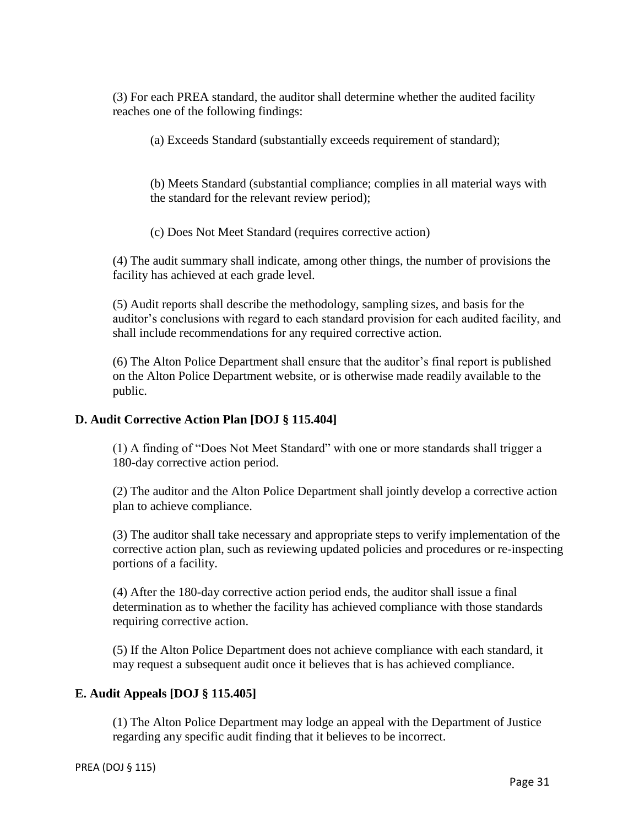(3) For each PREA standard, the auditor shall determine whether the audited facility reaches one of the following findings:

(a) Exceeds Standard (substantially exceeds requirement of standard);

(b) Meets Standard (substantial compliance; complies in all material ways with the standard for the relevant review period);

(c) Does Not Meet Standard (requires corrective action)

(4) The audit summary shall indicate, among other things, the number of provisions the facility has achieved at each grade level.

(5) Audit reports shall describe the methodology, sampling sizes, and basis for the auditor's conclusions with regard to each standard provision for each audited facility, and shall include recommendations for any required corrective action.

(6) The Alton Police Department shall ensure that the auditor's final report is published on the Alton Police Department website, or is otherwise made readily available to the public.

## **D. Audit Corrective Action Plan [DOJ § 115.404]**

(1) A finding of "Does Not Meet Standard" with one or more standards shall trigger a 180-day corrective action period.

(2) The auditor and the Alton Police Department shall jointly develop a corrective action plan to achieve compliance.

(3) The auditor shall take necessary and appropriate steps to verify implementation of the corrective action plan, such as reviewing updated policies and procedures or re-inspecting portions of a facility.

(4) After the 180-day corrective action period ends, the auditor shall issue a final determination as to whether the facility has achieved compliance with those standards requiring corrective action.

(5) If the Alton Police Department does not achieve compliance with each standard, it may request a subsequent audit once it believes that is has achieved compliance.

## **E. Audit Appeals [DOJ § 115.405]**

(1) The Alton Police Department may lodge an appeal with the Department of Justice regarding any specific audit finding that it believes to be incorrect.